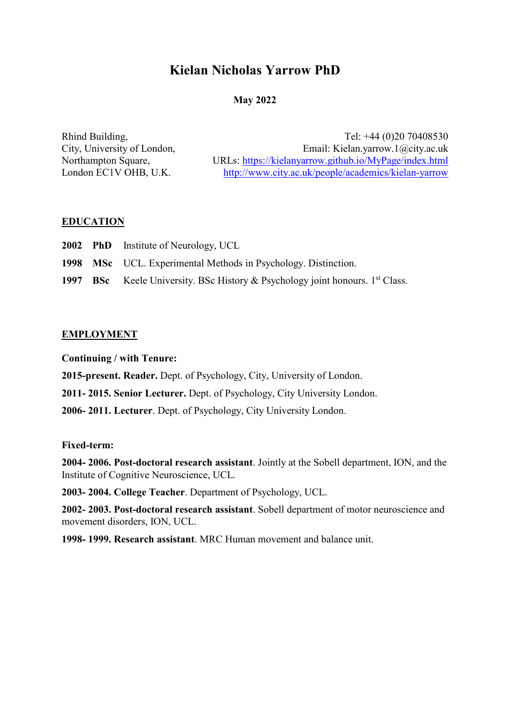# **Kielan Nicholas Yarrow PhD**

## **May 2022**

Rhind Building, Tel: +44 (0)20 70408530 City, University of London, Email: Kielan.yarrow.1@city.ac.uk Northampton Square, URLs:<https://kielanyarrow.github.io/MyPage/index.html> London EC1V OHB, U.K. <http://www.city.ac.uk/people/academics/kielan-yarrow>

## **EDUCATION**

- **2002 PhD** Institute of Neurology, UCL
- **1998 MSc** UCL. Experimental Methods in Psychology. Distinction.
- **1997 BSc** Keele University. BSc History & Psychology joint honours. 1<sup>st</sup> Class.

#### **EMPLOYMENT**

**Continuing / with Tenure:**

**2015-present. Reader.** Dept. of Psychology, City, University of London.

**2011- 2015. Senior Lecturer.** Dept. of Psychology, City University London.

**2006- 2011. Lecturer**. Dept. of Psychology, City University London.

## **Fixed-term:**

**2004- 2006. Post-doctoral research assistant**. Jointly at the Sobell department, ION, and the Institute of Cognitive Neuroscience, UCL.

**2003- 2004. College Teacher**. Department of Psychology, UCL.

**2002- 2003. Post-doctoral research assistant**. Sobell department of motor neuroscience and movement disorders, ION, UCL.

**1998- 1999. Research assistant**. MRC Human movement and balance unit.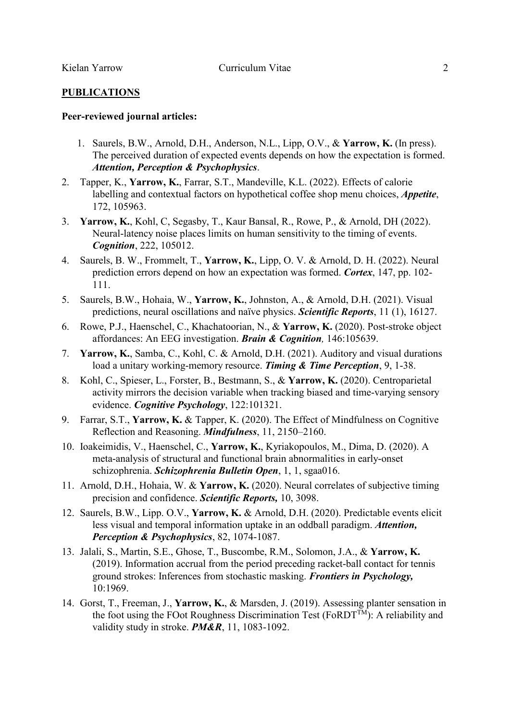#### **PUBLICATIONS**

#### **Peer-reviewed journal articles:**

- 1. Saurels, B.W., Arnold, D.H., Anderson, N.L., Lipp, O.V., & **Yarrow, K.** (In press). The perceived duration of expected events depends on how the expectation is formed. *Attention, Perception & Psychophysics*.
- 2. Tapper, K., **Yarrow, K.**, Farrar, S.T., Mandeville, K.L. (2022). Effects of calorie labelling and contextual factors on hypothetical coffee shop menu choices, *Appetite*, 172, 105963.
- 3. **Yarrow, K.**, Kohl, C, Segasby, T., Kaur Bansal, R., Rowe, P., & Arnold, DH (2022). Neural-latency noise places limits on human sensitivity to the timing of events. *Cognition*, 222, 105012.
- 4. Saurels, B. W., Frommelt, T., **Yarrow, K.**, Lipp, O. V. & Arnold, D. H. (2022). Neural prediction errors depend on how an expectation was formed. *Cortex*, 147, pp. 102- 111.
- 5. Saurels, B.W., Hohaia, W., **Yarrow, K.**, Johnston, A., & Arnold, D.H. (2021). Visual predictions, neural oscillations and naïve physics. *Scientific Reports*, 11 (1), 16127.
- 6. Rowe, P.J., Haenschel, C., Khachatoorian, N., & **Yarrow, K.** (2020). Post-stroke object affordances: An EEG investigation. *Brain & Cognition,* 146:105639.
- 7. **Yarrow, K.**, Samba, C., Kohl, C. & Arnold, D.H. (2021). Auditory and visual durations load a unitary working-memory resource. *Timing & Time Perception*, 9, 1-38.
- 8. Kohl, C., Spieser, L., Forster, B., Bestmann, S., & **Yarrow, K.** (2020). Centroparietal activity mirrors the decision variable when tracking biased and time-varying sensory evidence. *Cognitive Psychology*, 122:101321.
- 9. Farrar, S.T., **Yarrow, K.** & Tapper, K. (2020). The Effect of Mindfulness on Cognitive Reflection and Reasoning. *Mindfulness*, 11, 2150–2160.
- 10. Ioakeimidis, V., Haenschel, C., **Yarrow, K.**, Kyriakopoulos, M., Dima, D. (2020). A meta-analysis of structural and functional brain abnormalities in early-onset schizophrenia. *Schizophrenia Bulletin Open*, 1, 1, sgaa016.
- 11. Arnold, D.H., Hohaia, W. & **Yarrow, K.** (2020). Neural correlates of subjective timing precision and confidence. *Scientific Reports,* 10, 3098.
- 12. Saurels, B.W., Lipp. O.V., **Yarrow, K.** & Arnold, D.H. (2020). Predictable events elicit less visual and temporal information uptake in an oddball paradigm. *Attention, Perception & Psychophysics*, 82, 1074-1087.
- 13. Jalali, S., Martin, S.E., Ghose, T., Buscombe, R.M., Solomon, J.A., & **Yarrow, K.**  (2019). Information accrual from the period preceding racket-ball contact for tennis ground strokes: Inferences from stochastic masking. *Frontiers in Psychology,*  10:1969.
- 14. Gorst, T., Freeman, J., **Yarrow, K.**, & Marsden, J. (2019). Assessing planter sensation in the foot using the FOot Roughness Discrimination Test (FoRDT<sup>TM</sup>): A reliability and validity study in stroke. *PM&R*, 11, 1083-1092.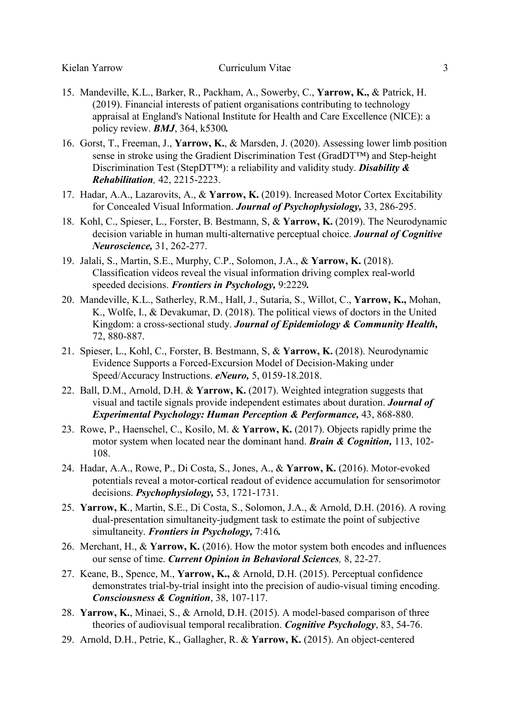- 15. Mandeville, K.L., Barker, R., Packham, A., Sowerby, C., **Yarrow, K.,** & Patrick, H. (2019). Financial interests of patient organisations contributing to technology appraisal at England's National Institute for Health and Care Excellence (NICE): a policy review. *BMJ*, 364, k5300*.*
- 16. Gorst, T., Freeman, J., **Yarrow, K.**, & Marsden, J. (2020). Assessing lower limb position sense in stroke using the Gradient Discrimination Test (GradDT™) and Step-height Discrimination Test (StepDT™): a reliability and validity study. *Disability & Rehabilitation,* 42, 2215-2223.
- 17. Hadar, A.A., Lazarovits, A., & **Yarrow, K.** (2019). Increased Motor Cortex Excitability for Concealed Visual Information. *Journal of Psychophysiology,* 33, 286-295.
- 18. Kohl, C., Spieser, L., Forster, B. Bestmann, S, & **Yarrow, K.** (2019). The Neurodynamic decision variable in human multi-alternative perceptual choice. *Journal of Cognitive Neuroscience,* 31, 262-277.
- 19. Jalali, S., Martin, S.E., Murphy, C.P., Solomon, J.A., & **Yarrow, K.** (2018). Classification videos reveal the visual information driving complex real-world speeded decisions. *Frontiers in Psychology,* 9:2229*.*
- 20. Mandeville, K.L., Satherley, R.M., Hall, J., Sutaria, S., Willot, C., **Yarrow, K.,** Mohan, K., Wolfe, I., & Devakumar, D. (2018). The political views of doctors in the United Kingdom: a cross-sectional study. *Journal of Epidemiology & Community Health,*  72, 880-887.
- 21. Spieser, L., Kohl, C., Forster, B. Bestmann, S, & **Yarrow, K.** (2018). Neurodynamic Evidence Supports a Forced-Excursion Model of Decision-Making under Speed/Accuracy Instructions. *eNeuro,* 5, 0159-18.2018.
- 22. Ball, D.M., Arnold, D.H. & **Yarrow, K.** (2017). Weighted integration suggests that visual and tactile signals provide independent estimates about duration. *Journal of Experimental Psychology: Human Perception & Performance,* 43, 868-880.
- 23. Rowe, P., Haenschel, C., Kosilo, M. & **Yarrow, K.** (2017). Objects rapidly prime the motor system when located near the dominant hand. *Brain & Cognition,* 113, 102- 108.
- 24. Hadar, A.A., Rowe, P., Di Costa, S., Jones, A., & **Yarrow, K.** (2016). Motor-evoked potentials reveal a motor-cortical readout of evidence accumulation for sensorimotor decisions. *Psychophysiology,* 53, 1721-1731.
- 25. **Yarrow, K**., Martin, S.E., Di Costa, S., Solomon, J.A., & Arnold, D.H. (2016). A roving dual-presentation simultaneity-judgment task to estimate the point of subjective simultaneity. *Frontiers in Psychology,* 7:416*.*
- 26. Merchant, H., & **Yarrow, K.** (2016). How the motor system both encodes and influences our sense of time. *Current Opinion in Behavioral Sciences,* 8, 22-27.
- 27. Keane, B., Spence, M., **Yarrow, K.,** & Arnold, D.H. (2015). Perceptual confidence demonstrates trial-by-trial insight into the precision of audio-visual timing encoding. *Consciousness & Cognition*, 38, 107-117.
- 28. **Yarrow, K.**, Minaei, S., & Arnold, D.H. (2015). A model-based comparison of three theories of audiovisual temporal recalibration. *Cognitive Psychology*, 83, 54-76.
- 29. Arnold, D.H., Petrie, K., Gallagher, R. & **Yarrow, K.** (2015). An object-centered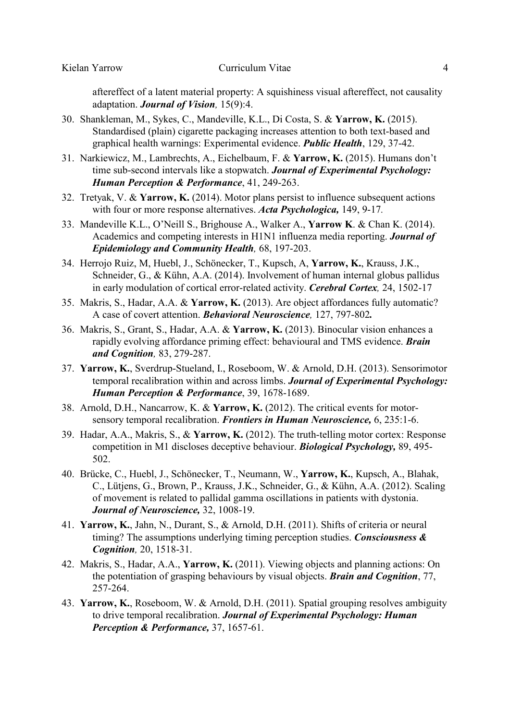aftereffect of a latent material property: A squishiness visual aftereffect, not causality adaptation. *Journal of Vision,* 15(9):4.

- 30. Shankleman, M., Sykes, C., Mandeville, K.L., Di Costa, S. & **Yarrow, K.** (2015). Standardised (plain) cigarette packaging increases attention to both text-based and graphical health warnings: Experimental evidence. *Public Health*, 129, 37-42.
- 31. Narkiewicz, M., Lambrechts, A., Eichelbaum, F. & **Yarrow, K.** (2015). Humans don't time sub-second intervals like a stopwatch. *Journal of Experimental Psychology: Human Perception & Performance*, 41, 249-263.
- 32. Tretyak, V. & **Yarrow, K.** (2014). Motor plans persist to influence subsequent actions with four or more response alternatives. *Acta Psychologica,* 149, 9-17*.*
- 33. Mandeville K.L., O'Neill S., Brighouse A., Walker A., **Yarrow K**. & Chan K. (2014). Academics and competing interests in H1N1 influenza media reporting. *Journal of Epidemiology and Community Health,* 68, 197-203.
- 34. Herrojo Ruiz, M, Huebl, J., Schönecker, T., Kupsch, A, **Yarrow, K.**, Krauss, J.K., Schneider, G., & Kühn, A.A. (2014). Involvement of human internal globus pallidus in early modulation of cortical error-related activity. *Cerebral Cortex,* 24, 1502-17
- 35. Makris, S., Hadar, A.A. & **Yarrow, K.** (2013). Are object affordances fully automatic? A case of covert attention. *Behavioral Neuroscience,* 127, 797-802*.*
- 36. Makris, S., Grant, S., Hadar, A.A. & **Yarrow, K.** (2013). Binocular vision enhances a rapidly evolving affordance priming effect: behavioural and TMS evidence. *Brain and Cognition,* 83, 279-287.
- 37. **Yarrow, K.**, Sverdrup-Stueland, I., Roseboom, W. & Arnold, D.H. (2013). Sensorimotor temporal recalibration within and across limbs. *Journal of Experimental Psychology: Human Perception & Performance*, 39, 1678-1689.
- 38. Arnold, D.H., Nancarrow, K. & **Yarrow, K.** (2012). The critical events for motorsensory temporal recalibration. *Frontiers in Human Neuroscience,* 6, 235:1-6.
- 39. Hadar, A.A., Makris, S., & **Yarrow, K.** (2012). The truth-telling motor cortex: Response competition in M1 discloses deceptive behaviour. *Biological Psychology,* 89, 495- 502.
- 40. Brücke, C., Huebl, J., Schönecker, T., Neumann, W., **Yarrow, K.**, Kupsch, A., Blahak, C., Lütjens, G., Brown, P., Krauss, J.K., Schneider, G., & Kühn, A.A. (2012). Scaling of movement is related to pallidal gamma oscillations in patients with dystonia. *Journal of Neuroscience,* 32, 1008-19.
- 41. **Yarrow, K.**, Jahn, N., Durant, S., & Arnold, D.H. (2011). Shifts of criteria or neural timing? The assumptions underlying timing perception studies. *Consciousness & Cognition,* 20, 1518-31.
- 42. Makris, S., Hadar, A.A., **Yarrow, K.** (2011). Viewing objects and planning actions: On the potentiation of grasping behaviours by visual objects. *Brain and Cognition*, 77, 257-264.
- 43. **Yarrow, K.**, Roseboom, W. & Arnold, D.H. (2011). Spatial grouping resolves ambiguity to drive temporal recalibration. *Journal of Experimental Psychology: Human Perception & Performance,* 37, 1657-61.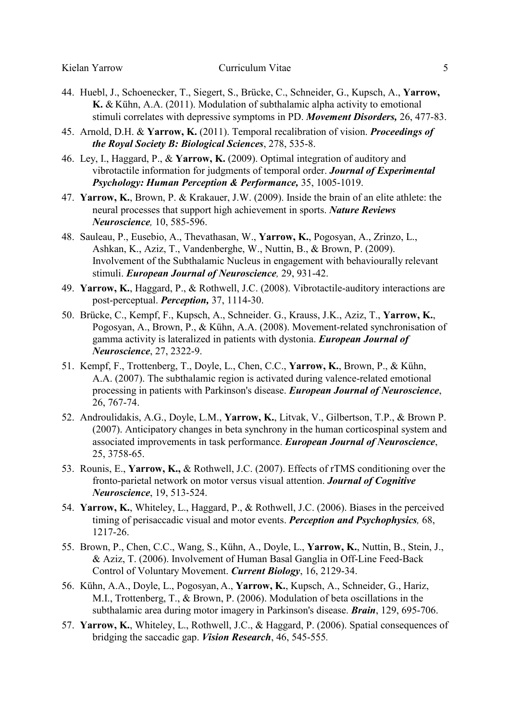- 44. Huebl, J., Schoenecker, T., Siegert, S., Brücke, C., Schneider, G., Kupsch, A., **Yarrow, K.** & Kühn, A.A. (2011). Modulation of subthalamic alpha activity to emotional stimuli correlates with depressive symptoms in PD. *Movement Disorders,* 26, 477-83.
- 45. Arnold, D.H. & **Yarrow, K.** (2011). Temporal recalibration of vision. *Proceedings of the Royal Society B: Biological Sciences*, 278, 535-8.
- 46. Ley, I., Haggard, P., & **Yarrow, K.** (2009). Optimal integration of auditory and vibrotactile information for judgments of temporal order. *Journal of Experimental Psychology: Human Perception & Performance,* 35, 1005-1019.
- 47. **Yarrow, K.**, Brown, P. & Krakauer, J.W. (2009). Inside the brain of an elite athlete: the neural processes that support high achievement in sports. *Nature Reviews Neuroscience,* 10, 585-596.
- 48. Sauleau, P., Eusebio, A., Thevathasan, W., **Yarrow, K.**, Pogosyan, A., Zrinzo, L., Ashkan, K., Aziz, T., Vandenberghe, W., Nuttin, B., & Brown, P. (2009). Involvement of the Subthalamic Nucleus in engagement with behaviourally relevant stimuli. *European Journal of Neuroscience,* 29, 931-42.
- 49. **Yarrow, K.**, Haggard, P., & Rothwell, J.C. (2008). Vibrotactile-auditory interactions are post-perceptual. *Perception,* 37, 1114-30.
- 50. Brücke, C., Kempf, F., Kupsch, A., Schneider. G., Krauss, J.K., Aziz, T., **Yarrow, K.**, Pogosyan, A., Brown, P., & Kühn, A.A. (2008). Movement-related synchronisation of gamma activity is lateralized in patients with dystonia. *European Journal of Neuroscience*, 27, 2322-9.
- 51. Kempf, F., Trottenberg, T., Doyle, L., Chen, C.C., **Yarrow, K.**, Brown, P., & Kühn, A.A. (2007). The subthalamic region is activated during valence-related emotional processing in patients with Parkinson's disease. *European Journal of Neuroscience*, 26, 767-74.
- 52. Androulidakis, A.G., Doyle, L.M., **Yarrow, K.**, Litvak, V., Gilbertson, T.P., & Brown P. (2007). Anticipatory changes in beta synchrony in the human corticospinal system and associated improvements in task performance. *European Journal of Neuroscience*, 25, 3758-65.
- 53. Rounis, E., **Yarrow, K.,** & Rothwell, J.C. (2007). Effects of rTMS conditioning over the fronto-parietal network on motor versus visual attention. *Journal of Cognitive Neuroscience*, 19, 513-524.
- 54. **Yarrow, K.**, Whiteley, L., Haggard, P., & Rothwell, J.C. (2006). Biases in the perceived timing of perisaccadic visual and motor events. *Perception and Psychophysics,* 68, 1217-26.
- 55. Brown, P., Chen, C.C., Wang, S., Kühn, A., Doyle, L., **Yarrow, K.**, Nuttin, B., Stein, J., & Aziz, T. (2006). Involvement of Human Basal Ganglia in Off-Line Feed-Back Control of Voluntary Movement. *Current Biology*, 16, 2129-34.
- 56. Kühn, A.A., Doyle, L., Pogosyan, A., **Yarrow, K.**, Kupsch, A., Schneider, G., Hariz, M.I., Trottenberg, T., & Brown, P. (2006). Modulation of beta oscillations in the subthalamic area during motor imagery in Parkinson's disease. *Brain*, 129, 695-706.
- 57. **Yarrow, K.**, Whiteley, L., Rothwell, J.C., & Haggard, P. (2006). Spatial consequences of bridging the saccadic gap. *Vision Research*, 46, 545-555*.*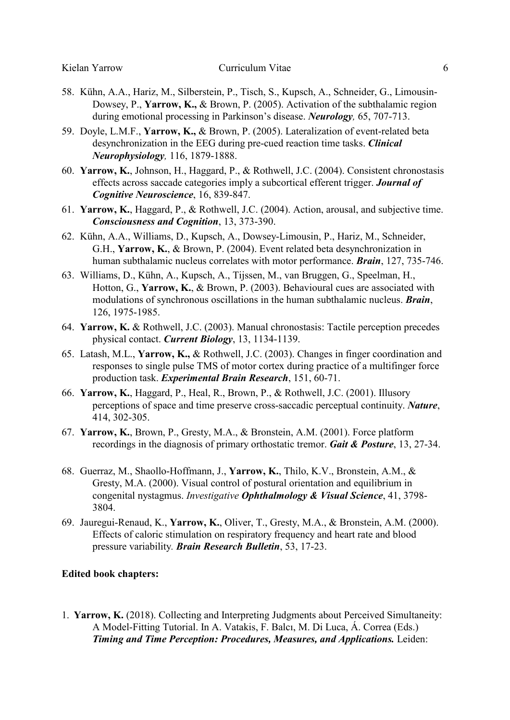- 58. Kühn, A.A., Hariz, M., Silberstein, P., Tisch, S., Kupsch, A., Schneider, G., Limousin-Dowsey, P., **Yarrow, K.,** & Brown, P. (2005). Activation of the subthalamic region during emotional processing in Parkinson's disease. *Neurology,* 65, 707-713.
- 59. Doyle, L.M.F., **Yarrow, K.,** & Brown, P. (2005). Lateralization of event-related beta desynchronization in the EEG during pre-cued reaction time tasks. *Clinical Neurophysiology,* 116, 1879-1888.
- 60. **Yarrow, K.**, Johnson, H., Haggard, P., & Rothwell, J.C. (2004). Consistent chronostasis effects across saccade categories imply a subcortical efferent trigger. *Journal of Cognitive Neuroscience*, 16, 839-847.
- 61. **Yarrow, K.**, Haggard, P., & Rothwell, J.C. (2004). Action, arousal, and subjective time. *Consciousness and Cognition*, 13, 373-390.
- 62. Kühn, A.A., Williams, D., Kupsch, A., Dowsey-Limousin, P., Hariz, M., Schneider, G.H., **Yarrow, K.**, & Brown, P. (2004). Event related beta desynchronization in human subthalamic nucleus correlates with motor performance. *Brain*, 127, 735-746.
- 63. Williams, D., Kühn, A., Kupsch, A., Tijssen, M., van Bruggen, G., Speelman, H., Hotton, G., **Yarrow, K.**, & Brown, P. (2003). Behavioural cues are associated with modulations of synchronous oscillations in the human subthalamic nucleus. *Brain*, 126, 1975-1985.
- 64. **Yarrow, K.** & Rothwell, J.C. (2003). Manual chronostasis: Tactile perception precedes physical contact. *Current Biology*, 13, 1134-1139.
- 65. Latash, M.L., **Yarrow, K.,** & Rothwell, J.C. (2003). Changes in finger coordination and responses to single pulse TMS of motor cortex during practice of a multifinger force production task. *Experimental Brain Research*, 151, 60-71.
- 66. **Yarrow, K.**, Haggard, P., Heal, R., Brown, P., & Rothwell, J.C. (2001). Illusory perceptions of space and time preserve cross-saccadic perceptual continuity. *Nature*, 414, 302-305.
- 67. **Yarrow, K.**, Brown, P., Gresty, M.A., & Bronstein, A.M. (2001). Force platform recordings in the diagnosis of primary orthostatic tremor. *Gait & Posture*, 13, 27-34.
- 68. Guerraz, M., Shaollo-Hoffmann, J., **Yarrow, K.**, Thilo, K.V., Bronstein, A.M., & Gresty, M.A. (2000). Visual control of postural orientation and equilibrium in congenital nystagmus. *Investigative Ophthalmology & Visual Science*, 41, 3798- 3804.
- 69. Jauregui-Renaud, K., **Yarrow, K.**, Oliver, T., Gresty, M.A., & Bronstein, A.M. (2000). Effects of caloric stimulation on respiratory frequency and heart rate and blood pressure variability*. Brain Research Bulletin*, 53, 17-23.

#### **Edited book chapters:**

1. **Yarrow, K.** (2018). Collecting and Interpreting Judgments about Perceived Simultaneity: A Model-Fitting Tutorial. In A. Vatakis, F. Balcı, M. Di Luca, Á. Correa (Eds.) *Timing and Time Perception: Procedures, Measures, and Applications.* Leiden: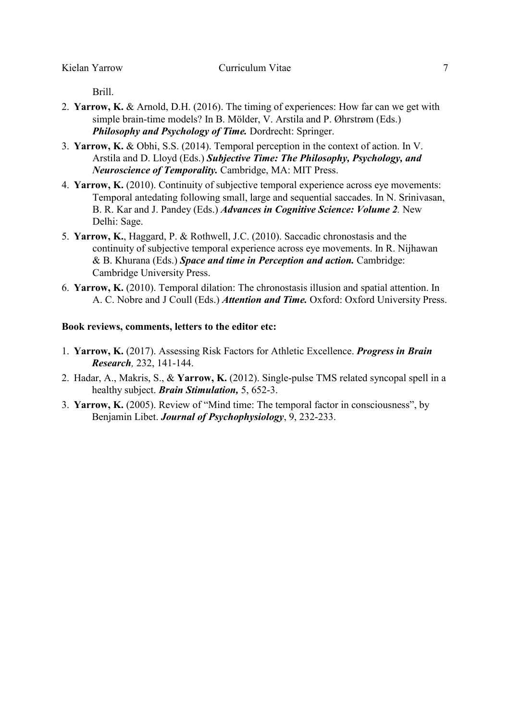Brill.

- 2. **Yarrow, K.** & Arnold, D.H. (2016). The timing of experiences: How far can we get with simple brain-time models? In B. Mölder, V. Arstila and P. Øhrstrøm (Eds.) *Philosophy and Psychology of Time.* Dordrecht: Springer.
- 3. **Yarrow, K.** & Obhi, S.S. (2014). Temporal perception in the context of action. In V. Arstila and D. Lloyd (Eds.) *Subjective Time: The Philosophy, Psychology, and Neuroscience of Temporality.* Cambridge, MA: MIT Press.
- 4. **Yarrow, K.** (2010). Continuity of subjective temporal experience across eye movements: Temporal antedating following small, large and sequential saccades. In N. Srinivasan, B. R. Kar and J. Pandey (Eds.) *Advances in Cognitive Science: Volume 2.* New Delhi: Sage.
- 5. **Yarrow, K.**, Haggard, P. & Rothwell, J.C. (2010). Saccadic chronostasis and the continuity of subjective temporal experience across eye movements. In R. Nijhawan & B. Khurana (Eds.) *Space and time in Perception and action.* Cambridge: Cambridge University Press.
- 6. **Yarrow, K.** (2010). Temporal dilation: The chronostasis illusion and spatial attention. In A. C. Nobre and J Coull (Eds.) *Attention and Time.* Oxford: Oxford University Press.

#### **Book reviews, comments, letters to the editor etc:**

- 1. **Yarrow, K.** (2017). Assessing Risk Factors for Athletic Excellence. *Progress in Brain Research,* 232, 141-144.
- 2. Hadar, A., Makris, S., & **Yarrow, K.** (2012). Single-pulse TMS related syncopal spell in a healthy subject. *Brain Stimulation,* 5, 652-3.
- 3. **Yarrow, K.** (2005). Review of "Mind time: The temporal factor in consciousness", by Benjamin Libet. *Journal of Psychophysiology*, 9, 232-233.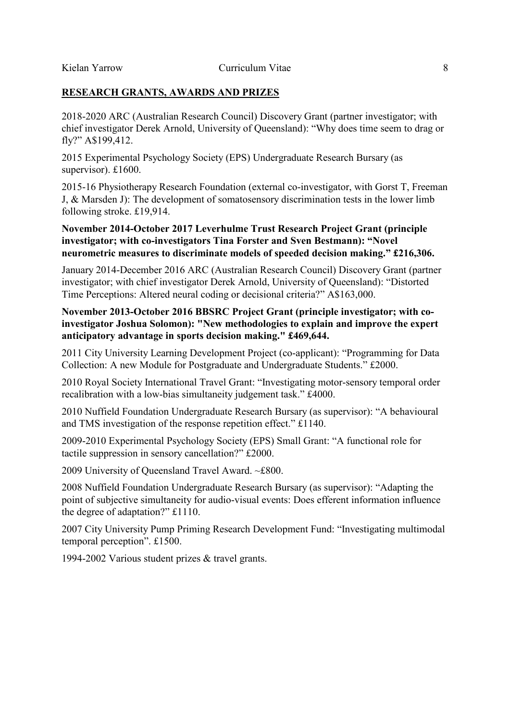## **RESEARCH GRANTS, AWARDS AND PRIZES**

2018-2020 ARC (Australian Research Council) Discovery Grant (partner investigator; with chief investigator Derek Arnold, University of Queensland): "Why does time seem to drag or fly?" A\$199,412.

2015 Experimental Psychology Society (EPS) Undergraduate Research Bursary (as supervisor). £1600.

2015-16 Physiotherapy Research Foundation (external co-investigator, with Gorst T, Freeman J, & Marsden J): The development of somatosensory discrimination tests in the lower limb following stroke. £19,914.

## **November 2014-October 2017 Leverhulme Trust Research Project Grant (principle investigator; with co-investigators Tina Forster and Sven Bestmann): "Novel neurometric measures to discriminate models of speeded decision making." £216,306.**

January 2014-December 2016 ARC (Australian Research Council) Discovery Grant (partner investigator; with chief investigator Derek Arnold, University of Queensland): "Distorted Time Perceptions: Altered neural coding or decisional criteria?" A\$163,000.

## **November 2013-October 2016 BBSRC Project Grant (principle investigator; with coinvestigator Joshua Solomon): "New methodologies to explain and improve the expert anticipatory advantage in sports decision making." £469,644.**

2011 City University Learning Development Project (co-applicant): "Programming for Data Collection: A new Module for Postgraduate and Undergraduate Students." £2000.

2010 Royal Society International Travel Grant: "Investigating motor-sensory temporal order recalibration with a low-bias simultaneity judgement task." £4000.

2010 Nuffield Foundation Undergraduate Research Bursary (as supervisor): "A behavioural and TMS investigation of the response repetition effect." £1140.

2009-2010 Experimental Psychology Society (EPS) Small Grant: "A functional role for tactile suppression in sensory cancellation?" £2000.

2009 University of Queensland Travel Award. ~£800.

2008 Nuffield Foundation Undergraduate Research Bursary (as supervisor): "Adapting the point of subjective simultaneity for audio-visual events: Does efferent information influence the degree of adaptation?" £1110.

2007 City University Pump Priming Research Development Fund: "Investigating multimodal temporal perception". £1500.

1994-2002 Various student prizes & travel grants.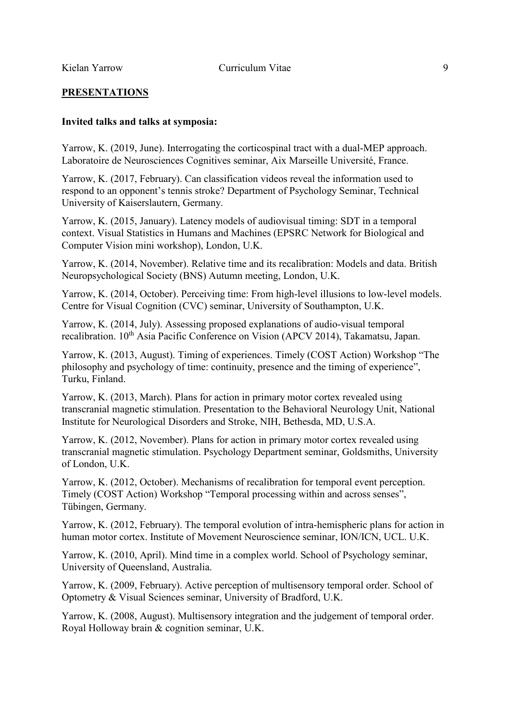## **PRESENTATIONS**

## **Invited talks and talks at symposia:**

Yarrow, K. (2019, June). Interrogating the corticospinal tract with a dual-MEP approach. Laboratoire de Neurosciences Cognitives seminar, Aix Marseille Université, France.

Yarrow, K. (2017, February). Can classification videos reveal the information used to respond to an opponent's tennis stroke? Department of Psychology Seminar, Technical University of Kaiserslautern, Germany.

Yarrow, K. (2015, January). Latency models of audiovisual timing: SDT in a temporal context. Visual Statistics in Humans and Machines (EPSRC Network for Biological and Computer Vision mini workshop), London, U.K.

Yarrow, K. (2014, November). Relative time and its recalibration: Models and data. British Neuropsychological Society (BNS) Autumn meeting, London, U.K.

Yarrow, K. (2014, October). Perceiving time: From high-level illusions to low-level models. Centre for Visual Cognition (CVC) seminar, University of Southampton, U.K.

Yarrow, K. (2014, July). Assessing proposed explanations of audio-visual temporal recalibration. 10<sup>th</sup> Asia Pacific Conference on Vision (APCV 2014), Takamatsu, Japan.

Yarrow, K. (2013, August). Timing of experiences. Timely (COST Action) Workshop "The philosophy and psychology of time: continuity, presence and the timing of experience", Turku, Finland.

Yarrow, K. (2013, March). Plans for action in primary motor cortex revealed using transcranial magnetic stimulation. Presentation to the Behavioral Neurology Unit, National Institute for Neurological Disorders and Stroke, NIH, Bethesda, MD, U.S.A.

Yarrow, K. (2012, November). Plans for action in primary motor cortex revealed using transcranial magnetic stimulation. Psychology Department seminar, Goldsmiths, University of London, U.K.

Yarrow, K. (2012, October). Mechanisms of recalibration for temporal event perception. Timely (COST Action) Workshop "Temporal processing within and across senses", Tübingen, Germany.

Yarrow, K. (2012, February). The temporal evolution of intra-hemispheric plans for action in human motor cortex. Institute of Movement Neuroscience seminar, ION/ICN, UCL. U.K.

Yarrow, K. (2010, April). Mind time in a complex world. School of Psychology seminar, University of Queensland, Australia.

Yarrow, K. (2009, February). Active perception of multisensory temporal order. School of Optometry & Visual Sciences seminar, University of Bradford, U.K.

Yarrow, K. (2008, August). Multisensory integration and the judgement of temporal order. Royal Holloway brain & cognition seminar, U.K.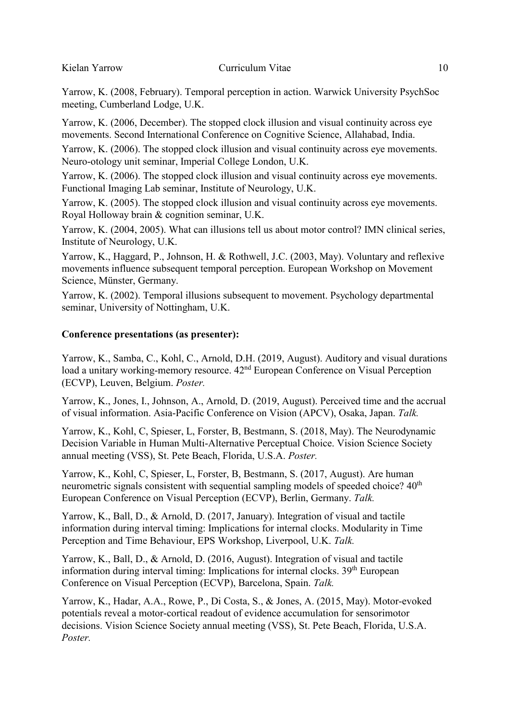Yarrow, K. (2008, February). Temporal perception in action. Warwick University PsychSoc meeting, Cumberland Lodge, U.K.

Yarrow, K. (2006, December). The stopped clock illusion and visual continuity across eye movements. Second International Conference on Cognitive Science, Allahabad, India.

Yarrow, K. (2006). The stopped clock illusion and visual continuity across eye movements. Neuro-otology unit seminar, Imperial College London, U.K.

Yarrow, K. (2006). The stopped clock illusion and visual continuity across eye movements. Functional Imaging Lab seminar, Institute of Neurology, U.K.

Yarrow, K. (2005). The stopped clock illusion and visual continuity across eye movements. Royal Holloway brain & cognition seminar, U.K.

Yarrow, K. (2004, 2005). What can illusions tell us about motor control? IMN clinical series, Institute of Neurology, U.K.

Yarrow, K., Haggard, P., Johnson, H. & Rothwell, J.C. (2003, May). Voluntary and reflexive movements influence subsequent temporal perception. European Workshop on Movement Science, Münster, Germany.

Yarrow, K. (2002). Temporal illusions subsequent to movement. Psychology departmental seminar, University of Nottingham, U.K.

## **Conference presentations (as presenter):**

Yarrow, K., Samba, C., Kohl, C., Arnold, D.H. (2019, August). Auditory and visual durations load a unitary working-memory resource.  $42<sup>nd</sup>$  European Conference on Visual Perception (ECVP), Leuven, Belgium. *Poster.*

Yarrow, K., Jones, I., Johnson, A., Arnold, D. (2019, August). Perceived time and the accrual of visual information. Asia-Pacific Conference on Vision (APCV), Osaka, Japan. *Talk.*

Yarrow, K., Kohl, C, Spieser, L, Forster, B, Bestmann, S. (2018, May). The Neurodynamic Decision Variable in Human Multi-Alternative Perceptual Choice. Vision Science Society annual meeting (VSS), St. Pete Beach, Florida, U.S.A. *Poster.*

Yarrow, K., Kohl, C, Spieser, L, Forster, B, Bestmann, S. (2017, August). Are human neurometric signals consistent with sequential sampling models of speeded choice?  $40<sup>th</sup>$ European Conference on Visual Perception (ECVP), Berlin, Germany. *Talk.*

Yarrow, K., Ball, D., & Arnold, D. (2017, January). Integration of visual and tactile information during interval timing: Implications for internal clocks. Modularity in Time Perception and Time Behaviour, EPS Workshop, Liverpool, U.K. *Talk.*

Yarrow, K., Ball, D., & Arnold, D. (2016, August). Integration of visual and tactile information during interval timing: Implications for internal clocks.  $39<sup>th</sup>$  European Conference on Visual Perception (ECVP), Barcelona, Spain. *Talk.*

Yarrow, K., Hadar, A.A., Rowe, P., Di Costa, S., & Jones, A. (2015, May). Motor-evoked potentials reveal a motor-cortical readout of evidence accumulation for sensorimotor decisions. Vision Science Society annual meeting (VSS), St. Pete Beach, Florida, U.S.A. *Poster.*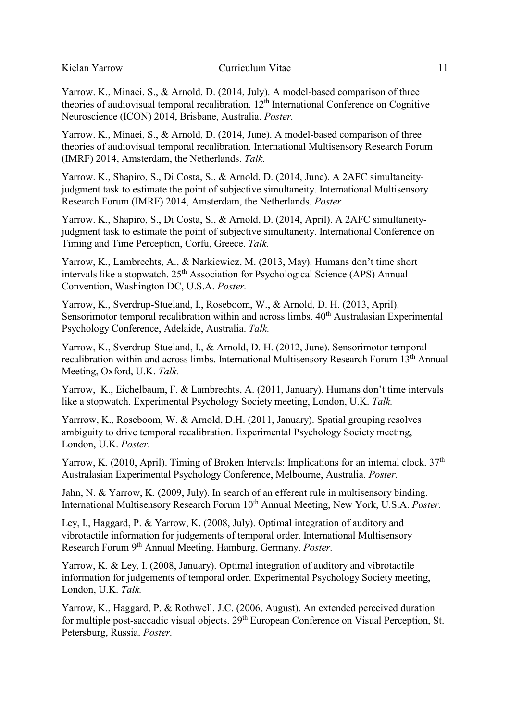Yarrow. K., Minaei, S., & Arnold, D. (2014, July). A model-based comparison of three theories of audiovisual temporal recalibration. 12<sup>th</sup> International Conference on Cognitive Neuroscience (ICON) 2014, Brisbane, Australia. *Poster.*

Yarrow. K., Minaei, S., & Arnold, D. (2014, June). A model-based comparison of three theories of audiovisual temporal recalibration. International Multisensory Research Forum (IMRF) 2014, Amsterdam, the Netherlands. *Talk.*

Yarrow. K., Shapiro, S., Di Costa, S., & Arnold, D. (2014, June). A 2AFC simultaneityjudgment task to estimate the point of subjective simultaneity. International Multisensory Research Forum (IMRF) 2014, Amsterdam, the Netherlands. *Poster.*

Yarrow. K., Shapiro, S., Di Costa, S., & Arnold, D. (2014, April). A 2AFC simultaneityjudgment task to estimate the point of subjective simultaneity. International Conference on Timing and Time Perception, Corfu, Greece. *Talk.*

Yarrow, K., Lambrechts, A., & Narkiewicz, M. (2013, May). Humans don't time short intervals like a stopwatch. 25<sup>th</sup> Association for Psychological Science (APS) Annual Convention, Washington DC, U.S.A. *Poster.*

Yarrow, K., Sverdrup-Stueland, I., Roseboom, W., & Arnold, D. H. (2013, April). Sensorimotor temporal recalibration within and across limbs.  $40<sup>th</sup>$  Australasian Experimental Psychology Conference, Adelaide, Australia. *Talk.*

Yarrow, K., Sverdrup-Stueland, I., & Arnold, D. H. (2012, June). Sensorimotor temporal recalibration within and across limbs. International Multisensory Research Forum 13th Annual Meeting, Oxford, U.K. *Talk.*

Yarrow, K., Eichelbaum, F. & Lambrechts, A. (2011, January). Humans don't time intervals like a stopwatch. Experimental Psychology Society meeting, London, U.K. *Talk.*

Yarrrow, K., Roseboom, W. & Arnold, D.H. (2011, January). Spatial grouping resolves ambiguity to drive temporal recalibration. Experimental Psychology Society meeting, London, U.K. *Poster.*

Yarrow, K. (2010, April). Timing of Broken Intervals: Implications for an internal clock.  $37<sup>th</sup>$ Australasian Experimental Psychology Conference, Melbourne, Australia. *Poster.*

Jahn, N. & Yarrow, K. (2009, July). In search of an efferent rule in multisensory binding. International Multisensory Research Forum 10<sup>th</sup> Annual Meeting, New York, U.S.A. *Poster.* 

Ley, I., Haggard, P. & Yarrow, K. (2008, July). Optimal integration of auditory and vibrotactile information for judgements of temporal order. International Multisensory Research Forum 9th Annual Meeting, Hamburg, Germany. *Poster.*

Yarrow, K. & Ley, I. (2008, January). Optimal integration of auditory and vibrotactile information for judgements of temporal order. Experimental Psychology Society meeting, London, U.K. *Talk.*

Yarrow, K., Haggard, P. & Rothwell, J.C. (2006, August). An extended perceived duration for multiple post-saccadic visual objects. 29<sup>th</sup> European Conference on Visual Perception, St. Petersburg, Russia. *Poster.*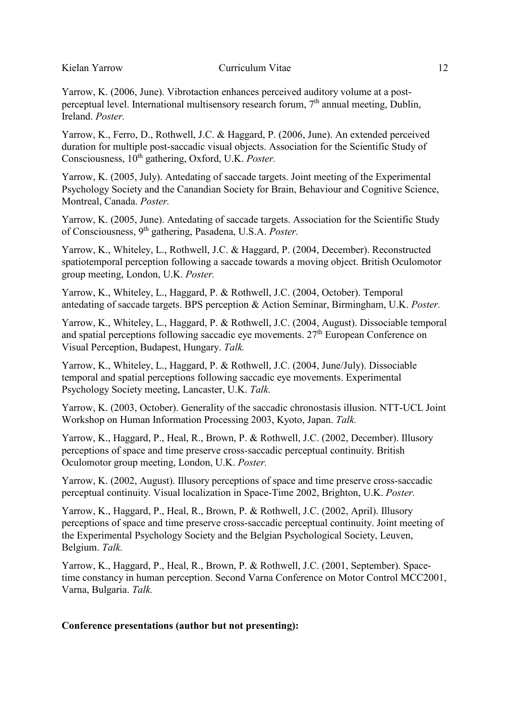Yarrow, K. (2006, June). Vibrotaction enhances perceived auditory volume at a postperceptual level. International multisensory research forum,  $7<sup>th</sup>$  annual meeting, Dublin, Ireland. *Poster.*

Yarrow, K., Ferro, D., Rothwell, J.C. & Haggard, P. (2006, June). An extended perceived duration for multiple post-saccadic visual objects. Association for the Scientific Study of Consciousness,  $10^{th}$  gathering, Oxford, U.K. *Poster.* 

Yarrow, K. (2005, July). Antedating of saccade targets. Joint meeting of the Experimental Psychology Society and the Canandian Society for Brain, Behaviour and Cognitive Science, Montreal, Canada. *Poster.*

Yarrow, K. (2005, June). Antedating of saccade targets. Association for the Scientific Study of Consciousness, 9th gathering, Pasadena, U.S.A. *Poster.*

Yarrow, K., Whiteley, L., Rothwell, J.C. & Haggard, P. (2004, December). Reconstructed spatiotemporal perception following a saccade towards a moving object. British Oculomotor group meeting, London, U.K. *Poster.*

Yarrow, K., Whiteley, L., Haggard, P. & Rothwell, J.C. (2004, October). Temporal antedating of saccade targets. BPS perception & Action Seminar, Birmingham, U.K. *Poster.*

Yarrow, K., Whiteley, L., Haggard, P. & Rothwell, J.C. (2004, August). Dissociable temporal and spatial perceptions following saccadic eye movements.  $27<sup>th</sup>$  European Conference on Visual Perception, Budapest, Hungary. *Talk.*

Yarrow, K., Whiteley, L., Haggard, P. & Rothwell, J.C. (2004, June/July). Dissociable temporal and spatial perceptions following saccadic eye movements. Experimental Psychology Society meeting, Lancaster, U.K. *Talk.*

Yarrow, K. (2003, October). Generality of the saccadic chronostasis illusion. NTT-UCL Joint Workshop on Human Information Processing 2003, Kyoto, Japan. *Talk.*

Yarrow, K., Haggard, P., Heal, R., Brown, P. & Rothwell, J.C. (2002, December). Illusory perceptions of space and time preserve cross-saccadic perceptual continuity. British Oculomotor group meeting, London, U.K. *Poster.*

Yarrow, K. (2002, August). Illusory perceptions of space and time preserve cross-saccadic perceptual continuity. Visual localization in Space-Time 2002, Brighton, U.K. *Poster.*

Yarrow, K., Haggard, P., Heal, R., Brown, P. & Rothwell, J.C. (2002, April). Illusory perceptions of space and time preserve cross-saccadic perceptual continuity. Joint meeting of the Experimental Psychology Society and the Belgian Psychological Society, Leuven, Belgium. *Talk.*

Yarrow, K., Haggard, P., Heal, R., Brown, P. & Rothwell, J.C. (2001, September). Spacetime constancy in human perception. Second Varna Conference on Motor Control MCC2001, Varna, Bulgaria. *Talk.*

## **Conference presentations (author but not presenting):**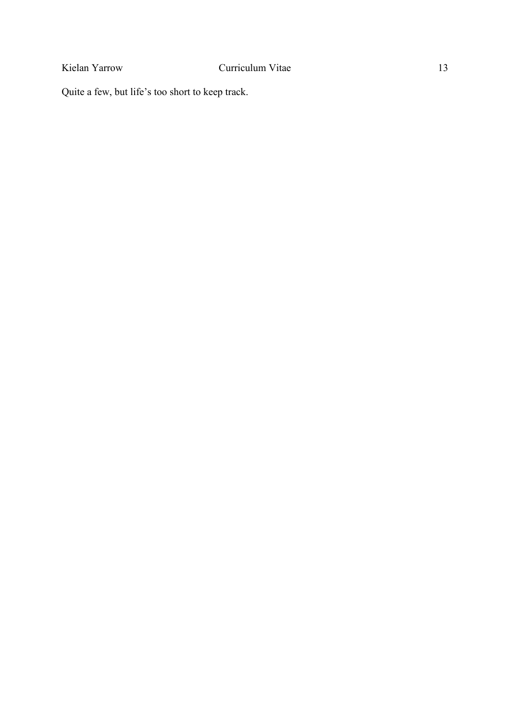Quite a few, but life's too short to keep track.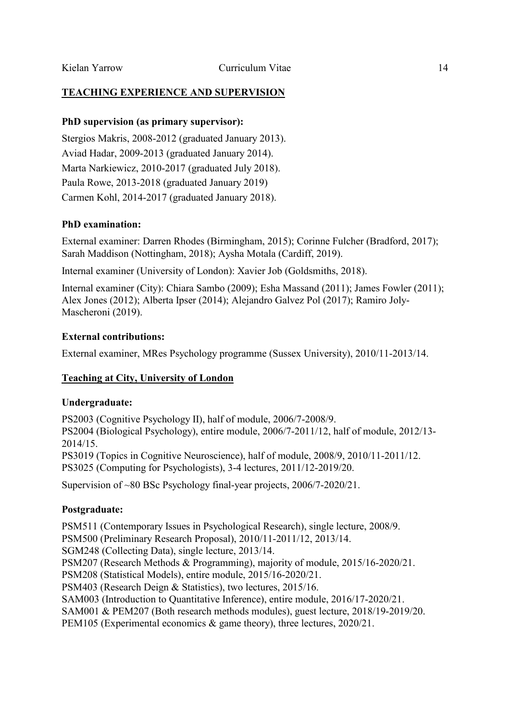## **TEACHING EXPERIENCE AND SUPERVISION**

## **PhD supervision (as primary supervisor):**

Stergios Makris, 2008-2012 (graduated January 2013). Aviad Hadar, 2009-2013 (graduated January 2014). Marta Narkiewicz, 2010-2017 (graduated July 2018). Paula Rowe, 2013-2018 (graduated January 2019) Carmen Kohl, 2014-2017 (graduated January 2018).

## **PhD examination:**

External examiner: Darren Rhodes (Birmingham, 2015); Corinne Fulcher (Bradford, 2017); Sarah Maddison (Nottingham, 2018); Aysha Motala (Cardiff, 2019).

Internal examiner (University of London): Xavier Job (Goldsmiths, 2018).

Internal examiner (City): Chiara Sambo (2009); Esha Massand (2011); James Fowler (2011); Alex Jones (2012); Alberta Ipser (2014); Alejandro Galvez Pol (2017); Ramiro Joly-Mascheroni (2019).

## **External contributions:**

External examiner, MRes Psychology programme (Sussex University), 2010/11-2013/14.

## **Teaching at City, University of London**

#### **Undergraduate:**

PS2003 (Cognitive Psychology II), half of module, 2006/7-2008/9. PS2004 (Biological Psychology), entire module, 2006/7-2011/12, half of module, 2012/13- 2014/15. PS3019 (Topics in Cognitive Neuroscience), half of module, 2008/9, 2010/11-2011/12. PS3025 (Computing for Psychologists), 3-4 lectures, 2011/12-2019/20.

Supervision of ~80 BSc Psychology final-year projects, 2006/7-2020/21.

## **Postgraduate:**

PSM511 (Contemporary Issues in Psychological Research), single lecture, 2008/9. PSM500 (Preliminary Research Proposal), 2010/11-2011/12, 2013/14. SGM248 (Collecting Data), single lecture, 2013/14. PSM207 (Research Methods & Programming), majority of module, 2015/16-2020/21. PSM208 (Statistical Models), entire module, 2015/16-2020/21. PSM403 (Research Deign & Statistics), two lectures, 2015/16. SAM003 (Introduction to Quantitative Inference), entire module, 2016/17-2020/21. SAM001 & PEM207 (Both research methods modules), guest lecture, 2018/19-2019/20. PEM105 (Experimental economics & game theory), three lectures, 2020/21.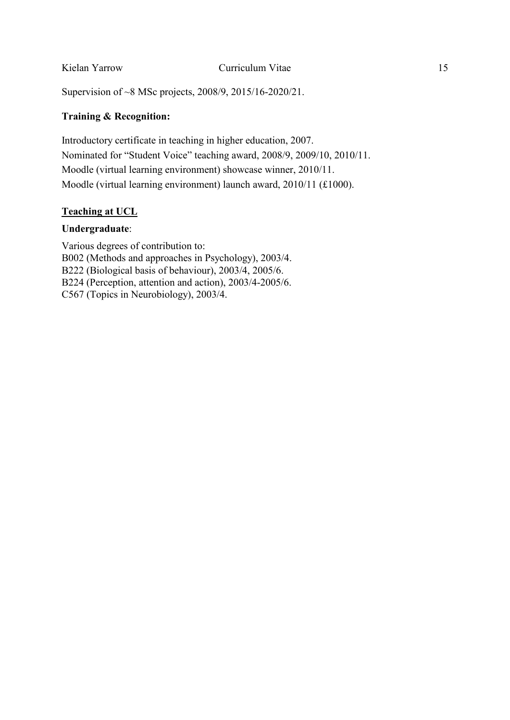Supervision of ~8 MSc projects, 2008/9, 2015/16-2020/21.

## **Training & Recognition:**

Introductory certificate in teaching in higher education, 2007. Nominated for "Student Voice" teaching award, 2008/9, 2009/10, 2010/11. Moodle (virtual learning environment) showcase winner, 2010/11. Moodle (virtual learning environment) launch award, 2010/11 (£1000).

## **Teaching at UCL**

#### **Undergraduate**:

Various degrees of contribution to: B002 (Methods and approaches in Psychology), 2003/4. B222 (Biological basis of behaviour), 2003/4, 2005/6. B224 (Perception, attention and action), 2003/4-2005/6. C567 (Topics in Neurobiology), 2003/4.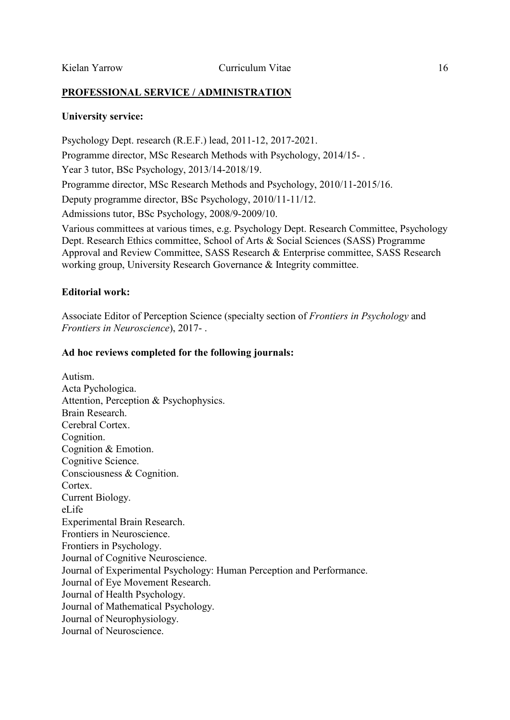## **PROFESSIONAL SERVICE / ADMINISTRATION**

#### **University service:**

Psychology Dept. research (R.E.F.) lead, 2011-12, 2017-2021. Programme director, MSc Research Methods with Psychology, 2014/15- . Year 3 tutor, BSc Psychology, 2013/14-2018/19. Programme director, MSc Research Methods and Psychology, 2010/11-2015/16. Deputy programme director, BSc Psychology, 2010/11-11/12. Admissions tutor, BSc Psychology, 2008/9-2009/10. Various committees at various times, e.g. Psychology Dept. Research Committee, Psychology Dept. Research Ethics committee, School of Arts & Social Sciences (SASS) Programme Approval and Review Committee, SASS Research & Enterprise committee, SASS Research working group, University Research Governance & Integrity committee.

#### **Editorial work:**

Associate Editor of Perception Science (specialty section of *Frontiers in Psychology* and *Frontiers in Neuroscience*), 2017- .

#### **Ad hoc reviews completed for the following journals:**

Autism. Acta Pychologica. Attention, Perception & Psychophysics. Brain Research. Cerebral Cortex. Cognition. Cognition & Emotion. Cognitive Science. Consciousness & Cognition. Cortex. Current Biology. eLife Experimental Brain Research. Frontiers in Neuroscience. Frontiers in Psychology. Journal of Cognitive Neuroscience. Journal of Experimental Psychology: Human Perception and Performance. Journal of Eye Movement Research. Journal of Health Psychology. Journal of Mathematical Psychology. Journal of Neurophysiology. Journal of Neuroscience.